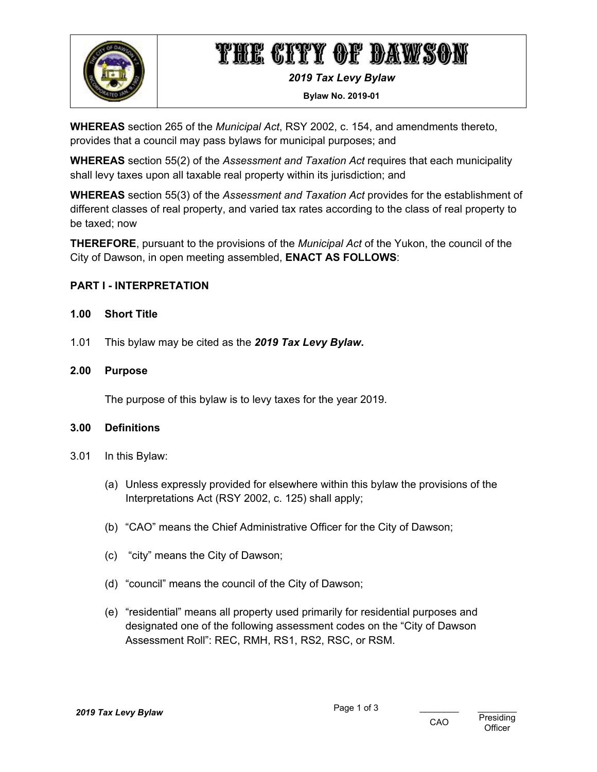

# THE CITY OF DAWSON

*2019 Tax Levy Bylaw* 

**Bylaw No. 2019-01** 

**WHEREAS** section 265 of the *Municipal Act*, RSY 2002, c. 154, and amendments thereto, provides that a council may pass bylaws for municipal purposes; and

**WHEREAS** section 55(2) of the *Assessment and Taxation Act* requires that each municipality shall levy taxes upon all taxable real property within its jurisdiction; and

**WHEREAS** section 55(3) of the *Assessment and Taxation Act* provides for the establishment of different classes of real property, and varied tax rates according to the class of real property to be taxed; now

**THEREFORE**, pursuant to the provisions of the *Municipal Act* of the Yukon, the council of the City of Dawson, in open meeting assembled, **ENACT AS FOLLOWS**:

## **PART I - INTERPRETATION**

#### **1.00 Short Title**

1.01 This bylaw may be cited as the *2019 Tax Levy Bylaw***.** 

#### **2.00 Purpose**

The purpose of this bylaw is to levy taxes for the year 2019.

#### **3.00 Definitions**

- 3.01 In this Bylaw:
	- (a) Unless expressly provided for elsewhere within this bylaw the provisions of the Interpretations Act (RSY 2002, c. 125) shall apply;
	- (b) "CAO" means the Chief Administrative Officer for the City of Dawson;
	- (c) "city" means the City of Dawson;
	- (d) "council" means the council of the City of Dawson;
	- (e) "residential" means all property used primarily for residential purposes and designated one of the following assessment codes on the "City of Dawson Assessment Roll": REC, RMH, RS1, RS2, RSC, or RSM.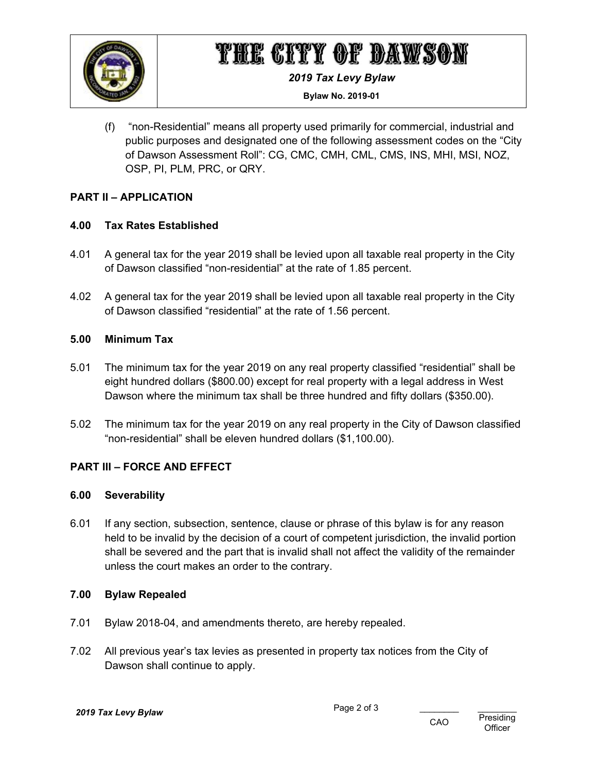

## THE CITY OF DAWSON

*2019 Tax Levy Bylaw* 

**Bylaw No. 2019-01** 

(f) "non-Residential" means all property used primarily for commercial, industrial and public purposes and designated one of the following assessment codes on the "City of Dawson Assessment Roll": CG, CMC, CMH, CML, CMS, INS, MHI, MSI, NOZ, OSP, PI, PLM, PRC, or QRY.

## **PART II – APPLICATION**

## **4.00 Tax Rates Established**

- 4.01 A general tax for the year 2019 shall be levied upon all taxable real property in the City of Dawson classified "non-residential" at the rate of 1.85 percent.
- 4.02 A general tax for the year 2019 shall be levied upon all taxable real property in the City of Dawson classified "residential" at the rate of 1.56 percent.

### **5.00 Minimum Tax**

- 5.01 The minimum tax for the year 2019 on any real property classified "residential" shall be eight hundred dollars (\$800.00) except for real property with a legal address in West Dawson where the minimum tax shall be three hundred and fifty dollars (\$350.00).
- 5.02 The minimum tax for the year 2019 on any real property in the City of Dawson classified "non-residential" shall be eleven hundred dollars (\$1,100.00).

## **PART III – FORCE AND EFFECT**

### **6.00 Severability**

6.01 If any section, subsection, sentence, clause or phrase of this bylaw is for any reason held to be invalid by the decision of a court of competent jurisdiction, the invalid portion shall be severed and the part that is invalid shall not affect the validity of the remainder unless the court makes an order to the contrary.

### **7.00 Bylaw Repealed**

- 7.01 Bylaw 2018-04, and amendments thereto, are hereby repealed.
- 7.02 All previous year's tax levies as presented in property tax notices from the City of Dawson shall continue to apply.